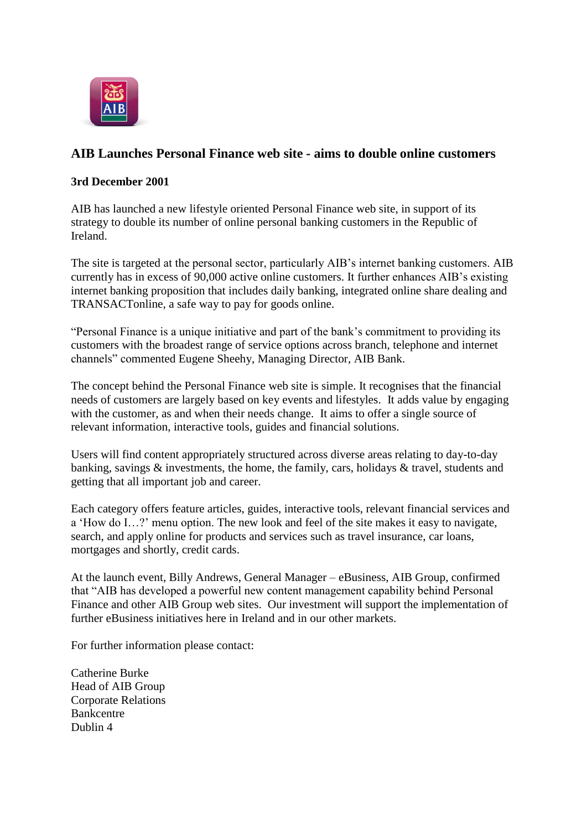

## **AIB Launches Personal Finance web site - aims to double online customers**

## **3rd December 2001**

AIB has launched a new lifestyle oriented Personal Finance web site, in support of its strategy to double its number of online personal banking customers in the Republic of Ireland.

The site is targeted at the personal sector, particularly AIB's internet banking customers. AIB currently has in excess of 90,000 active online customers. It further enhances AIB"s existing internet banking proposition that includes daily banking, integrated online share dealing and TRANSACTonline, a safe way to pay for goods online.

"Personal Finance is a unique initiative and part of the bank"s commitment to providing its customers with the broadest range of service options across branch, telephone and internet channels" commented Eugene Sheehy, Managing Director, AIB Bank.

The concept behind the Personal Finance web site is simple. It recognises that the financial needs of customers are largely based on key events and lifestyles. It adds value by engaging with the customer, as and when their needs change. It aims to offer a single source of relevant information, interactive tools, guides and financial solutions.

Users will find content appropriately structured across diverse areas relating to day-to-day banking, savings & investments, the home, the family, cars, holidays & travel, students and getting that all important job and career.

Each category offers feature articles, guides, interactive tools, relevant financial services and a "How do I…?" menu option. The new look and feel of the site makes it easy to navigate, search, and apply online for products and services such as travel insurance, car loans, mortgages and shortly, credit cards.

At the launch event, Billy Andrews, General Manager – eBusiness, AIB Group, confirmed that "AIB has developed a powerful new content management capability behind Personal Finance and other AIB Group web sites. Our investment will support the implementation of further eBusiness initiatives here in Ireland and in our other markets.

For further information please contact:

Catherine Burke Head of AIB Group Corporate Relations Bankcentre Dublin 4